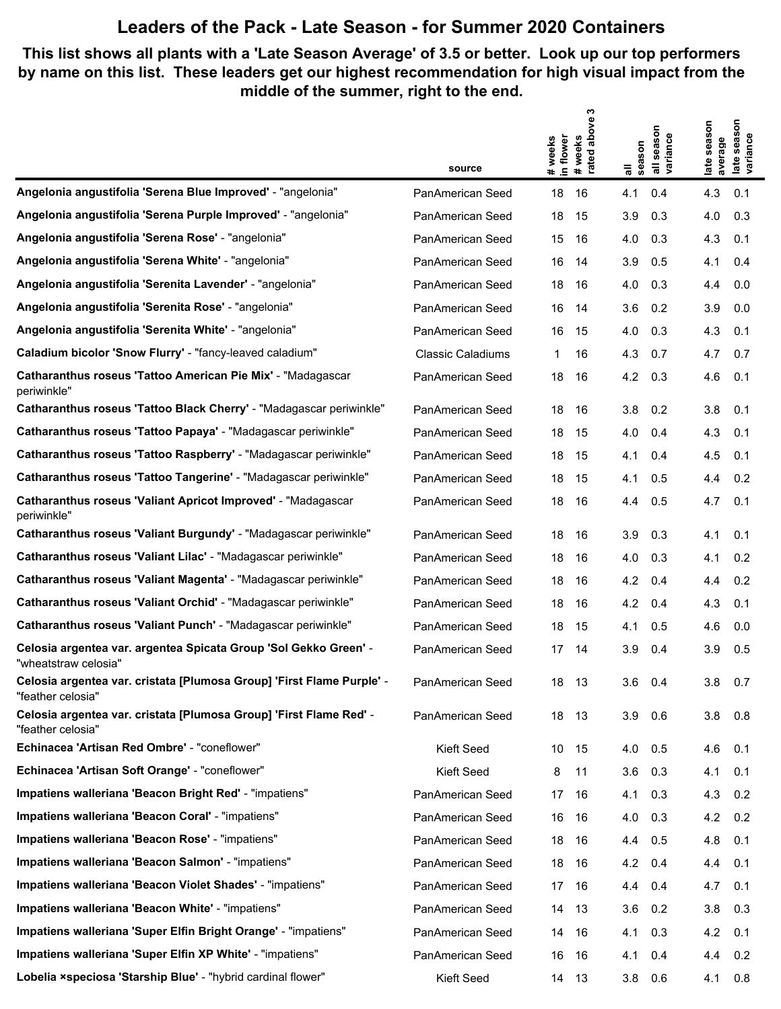## **Leaders of the Pack - Late Season - for Summer 2020 Containers**

**This list shows all plants with a 'Late Season Average' of 3.5 or better. Look up our top performers by name on this list. These leaders get our highest recommendation for high visual impact from the middle of the summer, right to the end.**

|                                                                                            |                          | ო                                                    |                    |                                                      |
|--------------------------------------------------------------------------------------------|--------------------------|------------------------------------------------------|--------------------|------------------------------------------------------|
|                                                                                            |                          | above<br># weeks<br>in flower<br>#weeks<br>rated abo | season<br>variance | season<br>season<br>late seas<br>variance<br>average |
|                                                                                            | source                   |                                                      | all<br>season      | late                                                 |
| Angelonia angustifolia 'Serena Blue Improved' - "angelonia"                                | PanAmerican Seed         | 18<br>16                                             | 0.4<br>4.1         | 4.3<br>0.1                                           |
| Angelonia angustifolia 'Serena Purple Improved' - "angelonia"                              | PanAmerican Seed         | 18<br>15                                             | 3.9<br>0.3         | 4.0<br>0.3                                           |
| Angelonia angustifolia 'Serena Rose' - "angelonia"                                         | PanAmerican Seed         | 15<br>16                                             | 4.0<br>0.3         | 4.3<br>0.1                                           |
| Angelonia angustifolia 'Serena White' - "angelonia"                                        | PanAmerican Seed         | 16<br>14                                             | 3.9<br>0.5         | 4.1<br>0.4                                           |
| Angelonia angustifolia 'Serenita Lavender' - "angelonia"                                   | PanAmerican Seed         | 18<br>16                                             | 4.0<br>0.3         | 4.4<br>0.0                                           |
| Angelonia angustifolia 'Serenita Rose' - "angelonia"                                       | PanAmerican Seed         | 16<br>14                                             | 3.6<br>0.2         | 3.9<br>0.0                                           |
| Angelonia angustifolia 'Serenita White' - "angelonia"                                      | PanAmerican Seed         | 15<br>16                                             | 4.0<br>0.3         | 4.3<br>0.1                                           |
| Caladium bicolor 'Snow Flurry' - "fancy-leaved caladium"                                   | <b>Classic Caladiums</b> | 16<br>1                                              | 4.3<br>0.7         | 4.7<br>0.7                                           |
| Catharanthus roseus 'Tattoo American Pie Mix' - "Madagascar<br>periwinkle"                 | PanAmerican Seed         | 18<br>16                                             | 4.2<br>0.3         | 4.6<br>0.1                                           |
| Catharanthus roseus 'Tattoo Black Cherry' - "Madagascar periwinkle"                        | PanAmerican Seed         | 18<br>-16                                            | 3.8<br>0.2         | 3.8<br>0.1                                           |
| Catharanthus roseus 'Tattoo Papaya' - "Madagascar periwinkle"                              | PanAmerican Seed         | 18<br>15                                             | 4.0<br>0.4         | 4.3<br>0.1                                           |
| Catharanthus roseus 'Tattoo Raspberry' - "Madagascar periwinkle"                           | PanAmerican Seed         | 18<br>-15                                            | 4.1<br>0.4         | 4.5<br>0.1                                           |
| Catharanthus roseus 'Tattoo Tangerine' - "Madagascar periwinkle"                           | PanAmerican Seed         | 18<br>15                                             | 4.1<br>0.5         | 4.4<br>0.2                                           |
| Catharanthus roseus 'Valiant Apricot Improved' - "Madagascar<br>periwinkle"                | PanAmerican Seed         | 18<br>- 16                                           | 4.4<br>0.5         | 4.7<br>0.1                                           |
| Catharanthus roseus 'Valiant Burgundy' - "Madagascar periwinkle"                           | PanAmerican Seed         | 18<br>16                                             | 3.9<br>0.3         | 4.1<br>0.1                                           |
| Catharanthus roseus 'Valiant Lilac' - "Madagascar periwinkle"                              | PanAmerican Seed         | 18<br>16                                             | 4.0<br>0.3         | 4.1<br>0.2                                           |
| Catharanthus roseus 'Valiant Magenta' - "Madagascar periwinkle"                            | PanAmerican Seed         | 18<br>16                                             | 4.2<br>0.4         | 4.4<br>0.2                                           |
| Catharanthus roseus 'Valiant Orchid' - "Madagascar periwinkle"                             | PanAmerican Seed         | 18<br>16                                             | 4.2<br>0.4         | 4.3<br>0.1                                           |
| Catharanthus roseus 'Valiant Punch' - "Madagascar periwinkle"                              | PanAmerican Seed         | 18<br>15                                             | 0.5<br>4.1         | 4.6<br>0.0                                           |
| Celosia argentea var. argentea Spicata Group 'Sol Gekko Green' -<br>"wheatstraw celosia"   | PanAmerican Seed         | 17<br>14                                             | 3.9<br>0.4         | 3.9<br>0.5                                           |
| Celosia argentea var. cristata [Plumosa Group] 'First Flame Purple' -<br>"feather celosia" | PanAmerican Seed         | 18 13                                                | 3.6<br>0.4         | 3.8<br>0.7                                           |
| Celosia argentea var. cristata [Plumosa Group] 'First Flame Red' -<br>"feather celosia"    | PanAmerican Seed         | 18 13                                                | 3.9<br>0.6         | 3.8<br>0.8                                           |
| Echinacea 'Artisan Red Ombre' - "coneflower"                                               | Kieft Seed               | 10 15                                                | 4.0<br>0.5         | 4.6<br>0.1                                           |
| Echinacea 'Artisan Soft Orange' - "coneflower"                                             | Kieft Seed               | 8<br>11                                              | 0.3<br>3.6         | 0.1<br>4.1                                           |
| Impatiens walleriana 'Beacon Bright Red' - "impatiens"                                     | PanAmerican Seed         | 17 16                                                | 4.1<br>0.3         | 4.3<br>0.2                                           |
| Impatiens walleriana 'Beacon Coral' - "impatiens"                                          | PanAmerican Seed         | 16 16                                                | 0.3<br>4.0         | 4.2 0.2                                              |
| Impatiens walleriana 'Beacon Rose' - "impatiens"                                           | PanAmerican Seed         | 18 16                                                | 0.5<br>4.4         | 4.8<br>0.1                                           |
| Impatiens walleriana 'Beacon Salmon' - "impatiens"                                         | PanAmerican Seed         | 18 16                                                | 4.2 0.4            | 0.1<br>4.4                                           |
| Impatiens walleriana 'Beacon Violet Shades' - "impatiens"                                  | PanAmerican Seed         | 17 16                                                | 0.4<br>4.4         | 4.7<br>0.1                                           |
| Impatiens walleriana 'Beacon White' - "impatiens"                                          | PanAmerican Seed         | 14<br>- 13                                           | 0.2<br>3.6         | 3.8<br>0.3                                           |
| Impatiens walleriana 'Super Elfin Bright Orange' - "impatiens"                             | PanAmerican Seed         | 14<br>- 16                                           | 4.1<br>0.3         | 4.2<br>0.1                                           |
| Impatiens walleriana 'Super Elfin XP White' - "impatiens"                                  | PanAmerican Seed         | 16<br>-16                                            | 0.4<br>4.1         | 0.2<br>4.4                                           |
| Lobelia xspeciosa 'Starship Blue' - "hybrid cardinal flower"                               | Kieft Seed               | 14 13                                                | 3.8<br>0.6         | 4.1<br>0.8                                           |